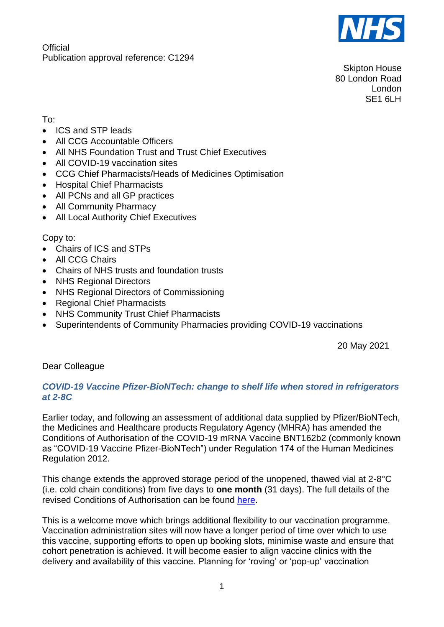

**Official** Publication approval reference: C1294

Skipton House 80 London Road London SF<sub>1</sub> 6LH

To:

- ICS and STP leads
- All CCG Accountable Officers
- All NHS Foundation Trust and Trust Chief Executives
- All COVID-19 vaccination sites
- CCG Chief Pharmacists/Heads of Medicines Optimisation
- Hospital Chief Pharmacists
- All PCNs and all GP practices
- All Community Pharmacy
- All Local Authority Chief Executives

Copy to:

- Chairs of ICS and STPs
- All CCG Chairs
- Chairs of NHS trusts and foundation trusts
- NHS Regional Directors
- NHS Regional Directors of Commissioning
- Regional Chief Pharmacists
- NHS Community Trust Chief Pharmacists
- Superintendents of Community Pharmacies providing COVID-19 vaccinations

20 May 2021

Dear Colleague

## *COVID-19 Vaccine Pfizer-BioNTech: change to shelf life when stored in refrigerators at 2-8C*

Earlier today, and following an assessment of additional data supplied by Pfizer/BioNTech, the Medicines and Healthcare products Regulatory Agency (MHRA) has amended the Conditions of Authorisation of the COVID-19 mRNA Vaccine BNT162b2 (commonly known as "COVID-19 Vaccine Pfizer-BioNTech") under Regulation 174 of the Human Medicines Regulation 2012.

This change extends the approved storage period of the unopened, thawed vial at 2-8°C (i.e. cold chain conditions) from five days to **one month** (31 days). The full details of the revised Conditions of Authorisation can be found [here.](https://www.gov.uk/government/publications/regulatory-approval-of-pfizer-biontech-vaccine-for-covid-19)

This is a welcome move which brings additional flexibility to our vaccination programme. Vaccination administration sites will now have a longer period of time over which to use this vaccine, supporting efforts to open up booking slots, minimise waste and ensure that cohort penetration is achieved. It will become easier to align vaccine clinics with the delivery and availability of this vaccine. Planning for 'roving' or 'pop-up' vaccination